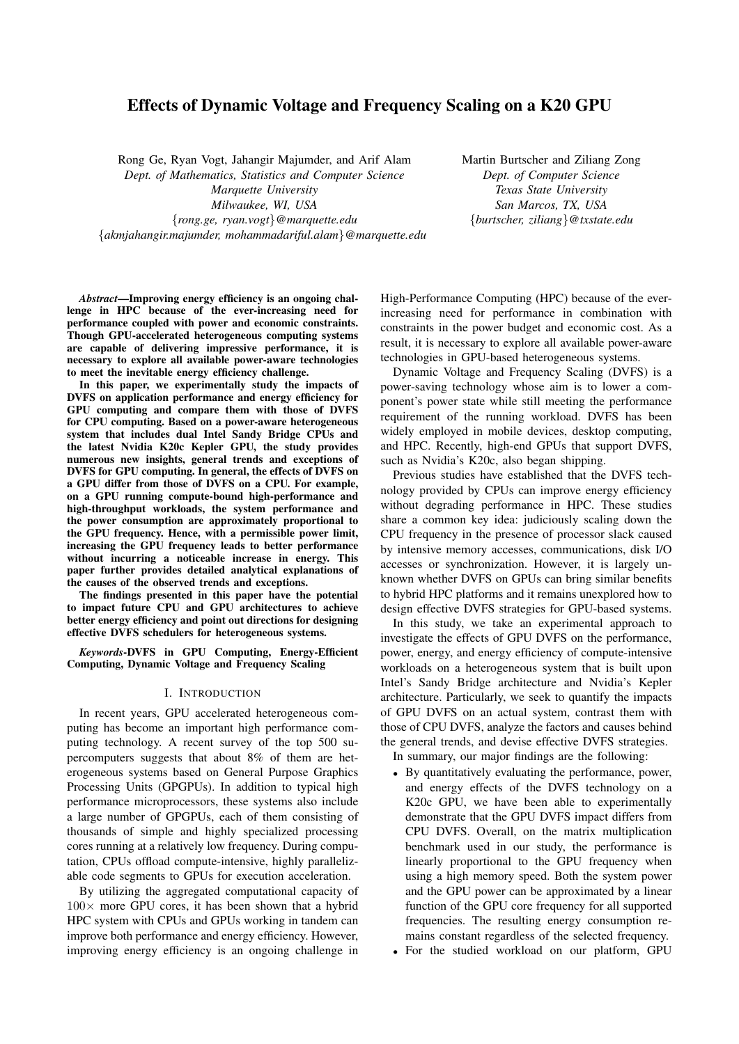# Effects of Dynamic Voltage and Frequency Scaling on a K20 GPU

Rong Ge, Ryan Vogt, Jahangir Majumder, and Arif Alam *Dept. of Mathematics, Statistics and Computer Science Marquette University Milwaukee, WI, USA* {*rong.ge, ryan.vogt*}*@marquette.edu* {*akmjahangir.majumder, mohammadariful.alam*}*@marquette.edu* Martin Burtscher and Ziliang Zong *Dept. of Computer Science Texas State University San Marcos, TX, USA* {*burtscher, ziliang*}*@txstate.edu*

*Abstract*—Improving energy efficiency is an ongoing challenge in HPC because of the ever-increasing need for performance coupled with power and economic constraints. Though GPU-accelerated heterogeneous computing systems are capable of delivering impressive performance, it is necessary to explore all available power-aware technologies to meet the inevitable energy efficiency challenge.

In this paper, we experimentally study the impacts of DVFS on application performance and energy efficiency for GPU computing and compare them with those of DVFS for CPU computing. Based on a power-aware heterogeneous system that includes dual Intel Sandy Bridge CPUs and the latest Nvidia K20c Kepler GPU, the study provides numerous new insights, general trends and exceptions of DVFS for GPU computing. In general, the effects of DVFS on a GPU differ from those of DVFS on a CPU. For example, on a GPU running compute-bound high-performance and high-throughput workloads, the system performance and the power consumption are approximately proportional to the GPU frequency. Hence, with a permissible power limit, increasing the GPU frequency leads to better performance without incurring a noticeable increase in energy. This paper further provides detailed analytical explanations of the causes of the observed trends and exceptions.

The findings presented in this paper have the potential to impact future CPU and GPU architectures to achieve better energy efficiency and point out directions for designing effective DVFS schedulers for heterogeneous systems.

*Keywords*-DVFS in GPU Computing, Energy-Efficient Computing, Dynamic Voltage and Frequency Scaling

## I. INTRODUCTION

In recent years, GPU accelerated heterogeneous computing has become an important high performance computing technology. A recent survey of the top 500 supercomputers suggests that about 8% of them are heterogeneous systems based on General Purpose Graphics Processing Units (GPGPUs). In addition to typical high performance microprocessors, these systems also include a large number of GPGPUs, each of them consisting of thousands of simple and highly specialized processing cores running at a relatively low frequency. During computation, CPUs offload compute-intensive, highly parallelizable code segments to GPUs for execution acceleration.

By utilizing the aggregated computational capacity of  $100\times$  more GPU cores, it has been shown that a hybrid HPC system with CPUs and GPUs working in tandem can improve both performance and energy efficiency. However, improving energy efficiency is an ongoing challenge in High-Performance Computing (HPC) because of the everincreasing need for performance in combination with constraints in the power budget and economic cost. As a result, it is necessary to explore all available power-aware technologies in GPU-based heterogeneous systems.

Dynamic Voltage and Frequency Scaling (DVFS) is a power-saving technology whose aim is to lower a component's power state while still meeting the performance requirement of the running workload. DVFS has been widely employed in mobile devices, desktop computing, and HPC. Recently, high-end GPUs that support DVFS, such as Nvidia's K20c, also began shipping.

Previous studies have established that the DVFS technology provided by CPUs can improve energy efficiency without degrading performance in HPC. These studies share a common key idea: judiciously scaling down the CPU frequency in the presence of processor slack caused by intensive memory accesses, communications, disk I/O accesses or synchronization. However, it is largely unknown whether DVFS on GPUs can bring similar benefits to hybrid HPC platforms and it remains unexplored how to design effective DVFS strategies for GPU-based systems.

In this study, we take an experimental approach to investigate the effects of GPU DVFS on the performance, power, energy, and energy efficiency of compute-intensive workloads on a heterogeneous system that is built upon Intel's Sandy Bridge architecture and Nvidia's Kepler architecture. Particularly, we seek to quantify the impacts of GPU DVFS on an actual system, contrast them with those of CPU DVFS, analyze the factors and causes behind the general trends, and devise effective DVFS strategies.

In summary, our major findings are the following:

- By quantitatively evaluating the performance, power, and energy effects of the DVFS technology on a K20c GPU, we have been able to experimentally demonstrate that the GPU DVFS impact differs from CPU DVFS. Overall, on the matrix multiplication benchmark used in our study, the performance is linearly proportional to the GPU frequency when using a high memory speed. Both the system power and the GPU power can be approximated by a linear function of the GPU core frequency for all supported frequencies. The resulting energy consumption remains constant regardless of the selected frequency.
- For the studied workload on our platform, GPU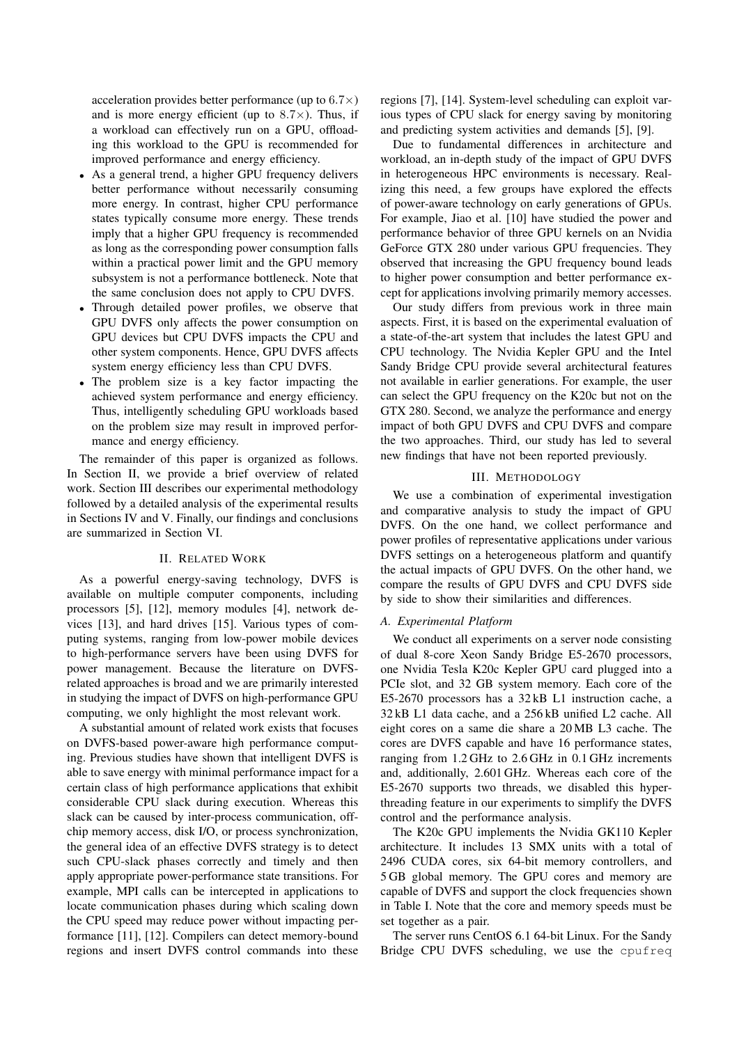acceleration provides better performance (up to  $6.7\times$ ) and is more energy efficient (up to  $8.7 \times$ ). Thus, if a workload can effectively run on a GPU, offloading this workload to the GPU is recommended for improved performance and energy efficiency.

- As a general trend, a higher GPU frequency delivers better performance without necessarily consuming more energy. In contrast, higher CPU performance states typically consume more energy. These trends imply that a higher GPU frequency is recommended as long as the corresponding power consumption falls within a practical power limit and the GPU memory subsystem is not a performance bottleneck. Note that the same conclusion does not apply to CPU DVFS.
- Through detailed power profiles, we observe that GPU DVFS only affects the power consumption on GPU devices but CPU DVFS impacts the CPU and other system components. Hence, GPU DVFS affects system energy efficiency less than CPU DVFS.
- The problem size is a key factor impacting the achieved system performance and energy efficiency. Thus, intelligently scheduling GPU workloads based on the problem size may result in improved performance and energy efficiency.

The remainder of this paper is organized as follows. In Section II, we provide a brief overview of related work. Section III describes our experimental methodology followed by a detailed analysis of the experimental results in Sections IV and V. Finally, our findings and conclusions are summarized in Section VI.

#### II. RELATED WORK

As a powerful energy-saving technology, DVFS is available on multiple computer components, including processors [5], [12], memory modules [4], network devices [13], and hard drives [15]. Various types of computing systems, ranging from low-power mobile devices to high-performance servers have been using DVFS for power management. Because the literature on DVFSrelated approaches is broad and we are primarily interested in studying the impact of DVFS on high-performance GPU computing, we only highlight the most relevant work.

A substantial amount of related work exists that focuses on DVFS-based power-aware high performance computing. Previous studies have shown that intelligent DVFS is able to save energy with minimal performance impact for a certain class of high performance applications that exhibit considerable CPU slack during execution. Whereas this slack can be caused by inter-process communication, offchip memory access, disk I/O, or process synchronization, the general idea of an effective DVFS strategy is to detect such CPU-slack phases correctly and timely and then apply appropriate power-performance state transitions. For example, MPI calls can be intercepted in applications to locate communication phases during which scaling down the CPU speed may reduce power without impacting performance [11], [12]. Compilers can detect memory-bound regions and insert DVFS control commands into these regions [7], [14]. System-level scheduling can exploit various types of CPU slack for energy saving by monitoring and predicting system activities and demands [5], [9].

Due to fundamental differences in architecture and workload, an in-depth study of the impact of GPU DVFS in heterogeneous HPC environments is necessary. Realizing this need, a few groups have explored the effects of power-aware technology on early generations of GPUs. For example, Jiao et al. [10] have studied the power and performance behavior of three GPU kernels on an Nvidia GeForce GTX 280 under various GPU frequencies. They observed that increasing the GPU frequency bound leads to higher power consumption and better performance except for applications involving primarily memory accesses.

Our study differs from previous work in three main aspects. First, it is based on the experimental evaluation of a state-of-the-art system that includes the latest GPU and CPU technology. The Nvidia Kepler GPU and the Intel Sandy Bridge CPU provide several architectural features not available in earlier generations. For example, the user can select the GPU frequency on the K20c but not on the GTX 280. Second, we analyze the performance and energy impact of both GPU DVFS and CPU DVFS and compare the two approaches. Third, our study has led to several new findings that have not been reported previously.

#### III. METHODOLOGY

We use a combination of experimental investigation and comparative analysis to study the impact of GPU DVFS. On the one hand, we collect performance and power profiles of representative applications under various DVFS settings on a heterogeneous platform and quantify the actual impacts of GPU DVFS. On the other hand, we compare the results of GPU DVFS and CPU DVFS side by side to show their similarities and differences.

## *A. Experimental Platform*

We conduct all experiments on a server node consisting of dual 8-core Xeon Sandy Bridge E5-2670 processors, one Nvidia Tesla K20c Kepler GPU card plugged into a PCIe slot, and 32 GB system memory. Each core of the E5-2670 processors has a 32 kB L1 instruction cache, a 32 kB L1 data cache, and a 256 kB unified L2 cache. All eight cores on a same die share a 20 MB L3 cache. The cores are DVFS capable and have 16 performance states, ranging from 1.2 GHz to 2.6 GHz in 0.1 GHz increments and, additionally, 2.601 GHz. Whereas each core of the E5-2670 supports two threads, we disabled this hyperthreading feature in our experiments to simplify the DVFS control and the performance analysis.

The K20c GPU implements the Nvidia GK110 Kepler architecture. It includes 13 SMX units with a total of 2496 CUDA cores, six 64-bit memory controllers, and 5 GB global memory. The GPU cores and memory are capable of DVFS and support the clock frequencies shown in Table I. Note that the core and memory speeds must be set together as a pair.

The server runs CentOS 6.1 64-bit Linux. For the Sandy Bridge CPU DVFS scheduling, we use the cpufreq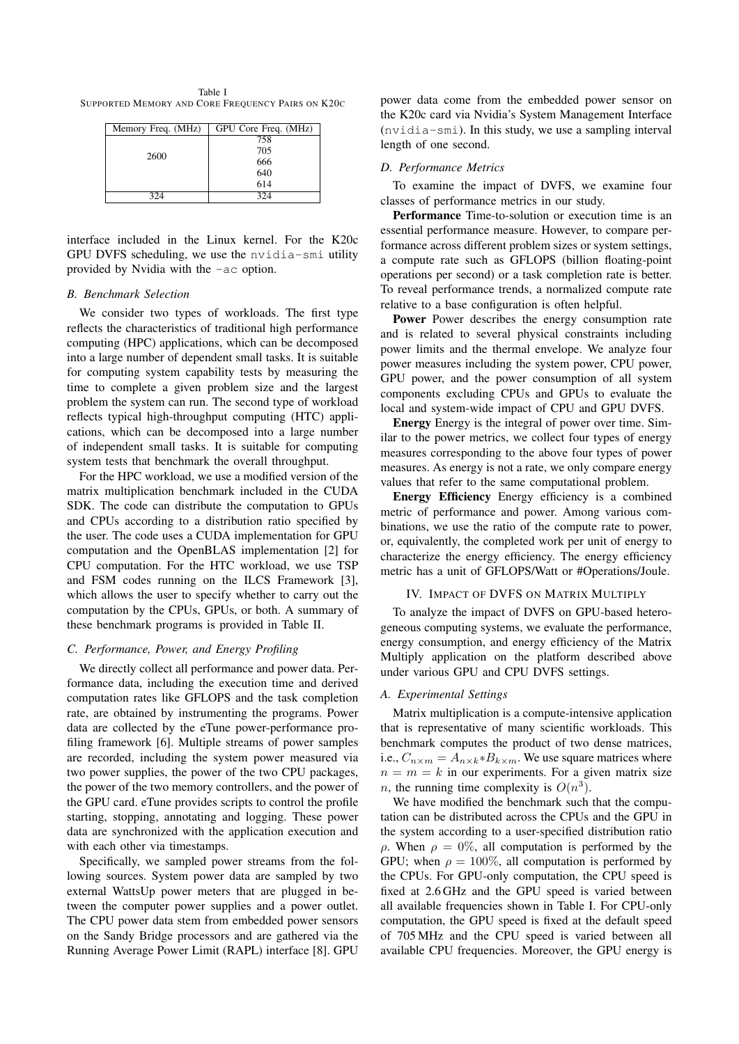Table I SUPPORTED MEMORY AND CORE FREQUENCY PAIRS ON K20C

| Memory Freq. (MHz) | GPU Core Freq. (MHz) |     |  |     |
|--------------------|----------------------|-----|--|-----|
| 2600               | 758                  |     |  |     |
|                    | 705<br>666           |     |  |     |
|                    |                      |     |  | 640 |
|                    |                      | 614 |  |     |
| 324                | 324                  |     |  |     |

interface included in the Linux kernel. For the K20c GPU DVFS scheduling, we use the nvidia-smi utility provided by Nvidia with the -ac option.

## *B. Benchmark Selection*

We consider two types of workloads. The first type reflects the characteristics of traditional high performance computing (HPC) applications, which can be decomposed into a large number of dependent small tasks. It is suitable for computing system capability tests by measuring the time to complete a given problem size and the largest problem the system can run. The second type of workload reflects typical high-throughput computing (HTC) applications, which can be decomposed into a large number of independent small tasks. It is suitable for computing system tests that benchmark the overall throughput.

For the HPC workload, we use a modified version of the matrix multiplication benchmark included in the CUDA SDK. The code can distribute the computation to GPUs and CPUs according to a distribution ratio specified by the user. The code uses a CUDA implementation for GPU computation and the OpenBLAS implementation [2] for CPU computation. For the HTC workload, we use TSP and FSM codes running on the ILCS Framework [3], which allows the user to specify whether to carry out the computation by the CPUs, GPUs, or both. A summary of these benchmark programs is provided in Table II.

# *C. Performance, Power, and Energy Profiling*

We directly collect all performance and power data. Performance data, including the execution time and derived computation rates like GFLOPS and the task completion rate, are obtained by instrumenting the programs. Power data are collected by the eTune power-performance profiling framework [6]. Multiple streams of power samples are recorded, including the system power measured via two power supplies, the power of the two CPU packages, the power of the two memory controllers, and the power of the GPU card. eTune provides scripts to control the profile starting, stopping, annotating and logging. These power data are synchronized with the application execution and with each other via timestamps.

Specifically, we sampled power streams from the following sources. System power data are sampled by two external WattsUp power meters that are plugged in between the computer power supplies and a power outlet. The CPU power data stem from embedded power sensors on the Sandy Bridge processors and are gathered via the Running Average Power Limit (RAPL) interface [8]. GPU

power data come from the embedded power sensor on the K20c card via Nvidia's System Management Interface (nvidia-smi). In this study, we use a sampling interval length of one second.

#### *D. Performance Metrics*

To examine the impact of DVFS, we examine four classes of performance metrics in our study.

Performance Time-to-solution or execution time is an essential performance measure. However, to compare performance across different problem sizes or system settings, a compute rate such as GFLOPS (billion floating-point operations per second) or a task completion rate is better. To reveal performance trends, a normalized compute rate relative to a base configuration is often helpful.

Power Power describes the energy consumption rate and is related to several physical constraints including power limits and the thermal envelope. We analyze four power measures including the system power, CPU power, GPU power, and the power consumption of all system components excluding CPUs and GPUs to evaluate the local and system-wide impact of CPU and GPU DVFS.

Energy Energy is the integral of power over time. Similar to the power metrics, we collect four types of energy measures corresponding to the above four types of power measures. As energy is not a rate, we only compare energy values that refer to the same computational problem.

Energy Efficiency Energy efficiency is a combined metric of performance and power. Among various combinations, we use the ratio of the compute rate to power, or, equivalently, the completed work per unit of energy to characterize the energy efficiency. The energy efficiency metric has a unit of GFLOPS/Watt or #Operations/Joule.

## IV. IMPACT OF DVFS ON MATRIX MULTIPLY

To analyze the impact of DVFS on GPU-based heterogeneous computing systems, we evaluate the performance, energy consumption, and energy efficiency of the Matrix Multiply application on the platform described above under various GPU and CPU DVFS settings.

#### *A. Experimental Settings*

Matrix multiplication is a compute-intensive application that is representative of many scientific workloads. This benchmark computes the product of two dense matrices, i.e.,  $C_{n \times m} = A_{n \times k} * B_{k \times m}$ . We use square matrices where  $n = m = k$  in our experiments. For a given matrix size *n*, the running time complexity is  $O(n^3)$ .

We have modified the benchmark such that the computation can be distributed across the CPUs and the GPU in the system according to a user-specified distribution ratio  $ρ$ . When  $ρ = 0\%$ , all computation is performed by the GPU; when  $\rho = 100\%$ , all computation is performed by the CPUs. For GPU-only computation, the CPU speed is fixed at 2.6 GHz and the GPU speed is varied between all available frequencies shown in Table I. For CPU-only computation, the GPU speed is fixed at the default speed of 705 MHz and the CPU speed is varied between all available CPU frequencies. Moreover, the GPU energy is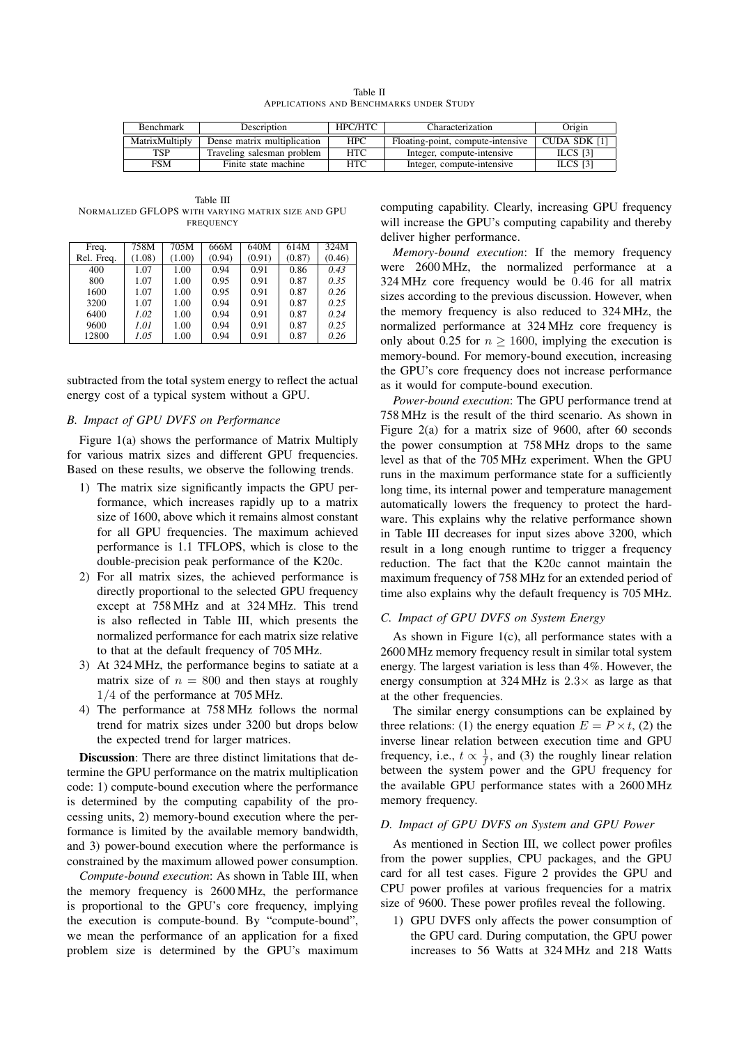| Table II                                |  |  |  |  |  |  |
|-----------------------------------------|--|--|--|--|--|--|
| APPLICATIONS AND BENCHMARKS UNDER STUDY |  |  |  |  |  |  |

| <b>Benchmark</b> | Description                 | HPC/HTC    | Characterization                  | Origin       |
|------------------|-----------------------------|------------|-----------------------------------|--------------|
| MatrixMultiply   | Dense matrix multiplication | <b>HPC</b> | Floating-point, compute-intensive | CUDA SDK [1] |
| TSP              | Traveling salesman problem  | <b>HTC</b> | Integer, compute-intensive        | ILCS [3]     |
| FSM              | Finite state machine        | <b>HTC</b> | Integer, compute-intensive        | ILCS $[3]$   |

Table III NORMALIZED GFLOPS WITH VARYING MATRIX SIZE AND GPU FREQUENCY

| Freq.      | 758M   | 705M   | 666M   | 640M   | 614M   | 324M   |
|------------|--------|--------|--------|--------|--------|--------|
| Rel. Freq. | (1.08) | (1.00) | (0.94) | (0.91) | (0.87) | (0.46) |
| 400        | 1.07   | 1.00   | 0.94   | 0.91   | 0.86   | 0.43   |
| 800        | 1.07   | 1.00   | 0.95   | 0.91   | 0.87   | 0.35   |
| 1600       | 1.07   | 1.00   | 0.95   | 0.91   | 0.87   | 0.26   |
| 3200       | 1.07   | 1.00   | 0.94   | 0.91   | 0.87   | 0.25   |
| 6400       | 1.02   | 1.00   | 0.94   | 0.91   | 0.87   | 0.24   |
| 9600       | 1.01   | 1.00   | 0.94   | 0.91   | 0.87   | 0.25   |
| 12800      | 1.05   | 1.00   | 0.94   | 0.91   | 0.87   | 0.26   |

subtracted from the total system energy to reflect the actual energy cost of a typical system without a GPU.

# *B. Impact of GPU DVFS on Performance*

Figure 1(a) shows the performance of Matrix Multiply for various matrix sizes and different GPU frequencies. Based on these results, we observe the following trends.

- 1) The matrix size significantly impacts the GPU performance, which increases rapidly up to a matrix size of 1600, above which it remains almost constant for all GPU frequencies. The maximum achieved performance is 1.1 TFLOPS, which is close to the double-precision peak performance of the K20c.
- 2) For all matrix sizes, the achieved performance is directly proportional to the selected GPU frequency except at 758 MHz and at 324 MHz. This trend is also reflected in Table III, which presents the normalized performance for each matrix size relative to that at the default frequency of 705 MHz.
- 3) At 324 MHz, the performance begins to satiate at a matrix size of  $n = 800$  and then stays at roughly 1/4 of the performance at 705 MHz.
- 4) The performance at 758 MHz follows the normal trend for matrix sizes under 3200 but drops below the expected trend for larger matrices.

Discussion: There are three distinct limitations that determine the GPU performance on the matrix multiplication code: 1) compute-bound execution where the performance is determined by the computing capability of the processing units, 2) memory-bound execution where the performance is limited by the available memory bandwidth, and 3) power-bound execution where the performance is constrained by the maximum allowed power consumption.

*Compute-bound execution*: As shown in Table III, when the memory frequency is 2600 MHz, the performance is proportional to the GPU's core frequency, implying the execution is compute-bound. By "compute-bound", we mean the performance of an application for a fixed problem size is determined by the GPU's maximum computing capability. Clearly, increasing GPU frequency will increase the GPU's computing capability and thereby deliver higher performance.

*Memory-bound execution*: If the memory frequency were 2600 MHz, the normalized performance at a 324 MHz core frequency would be 0.46 for all matrix sizes according to the previous discussion. However, when the memory frequency is also reduced to 324 MHz, the normalized performance at 324 MHz core frequency is only about 0.25 for  $n \ge 1600$ , implying the execution is memory-bound. For memory-bound execution, increasing the GPU's core frequency does not increase performance as it would for compute-bound execution.

*Power-bound execution*: The GPU performance trend at 758 MHz is the result of the third scenario. As shown in Figure 2(a) for a matrix size of 9600, after 60 seconds the power consumption at 758 MHz drops to the same level as that of the 705 MHz experiment. When the GPU runs in the maximum performance state for a sufficiently long time, its internal power and temperature management automatically lowers the frequency to protect the hardware. This explains why the relative performance shown in Table III decreases for input sizes above 3200, which result in a long enough runtime to trigger a frequency reduction. The fact that the K20c cannot maintain the maximum frequency of 758 MHz for an extended period of time also explains why the default frequency is 705 MHz.

# *C. Impact of GPU DVFS on System Energy*

As shown in Figure 1(c), all performance states with a 2600 MHz memory frequency result in similar total system energy. The largest variation is less than 4%. However, the energy consumption at  $324 \text{ MHz}$  is  $2.3 \times$  as large as that at the other frequencies.

The similar energy consumptions can be explained by three relations: (1) the energy equation  $E = P \times t$ , (2) the inverse linear relation between execution time and GPU frequency, i.e.,  $t \propto \frac{1}{f}$ , and (3) the roughly linear relation between the system power and the GPU frequency for the available GPU performance states with a 2600 MHz memory frequency.

#### *D. Impact of GPU DVFS on System and GPU Power*

As mentioned in Section III, we collect power profiles from the power supplies, CPU packages, and the GPU card for all test cases. Figure 2 provides the GPU and CPU power profiles at various frequencies for a matrix size of 9600. These power profiles reveal the following.

1) GPU DVFS only affects the power consumption of the GPU card. During computation, the GPU power increases to 56 Watts at 324 MHz and 218 Watts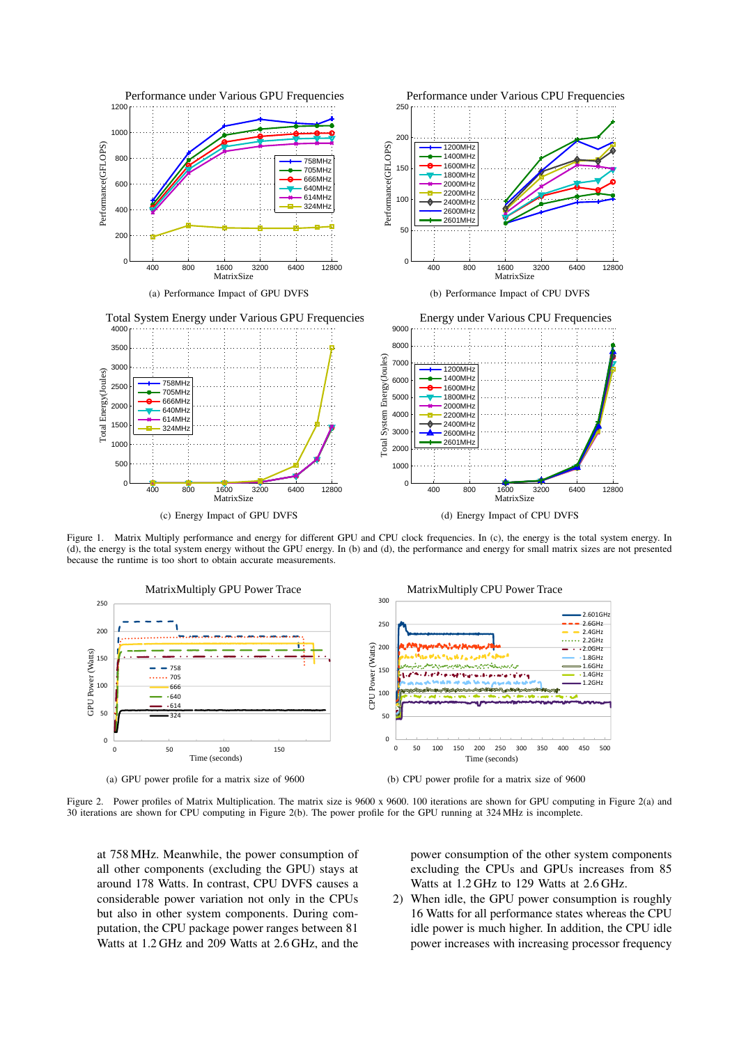

Figure 1. Matrix Multiply performance and energy for different GPU and CPU clock frequencies. In (c), the energy is the total system energy. In (d), the energy is the total system energy without the GPU energy. In (b) and (d), the performance and energy for small matrix sizes are not presented because the runtime is too short to obtain accurate measurements.



(a) GPU power profile for a matrix size of 9600

(b) CPU power profile for a matrix size of 9600

Figure 2. Power profiles of Matrix Multiplication. The matrix size is 9600 x 9600. 100 iterations are shown for GPU computing in Figure 2(a) and 30 iterations are shown for CPU computing in Figure 2(b). The power profile for the GPU running at 324 MHz is incomplete.

at 758 MHz. Meanwhile, the power consumption of all other components (excluding the GPU) stays at around 178 Watts. In contrast, CPU DVFS causes a considerable power variation not only in the CPUs but also in other system components. During computation, the CPU package power ranges between 81 Watts at 1.2 GHz and 209 Watts at 2.6 GHz, and the

power consumption of the other system components excluding the CPUs and GPUs increases from 85 Watts at 1.2 GHz to 129 Watts at 2.6 GHz.

2) When idle, the GPU power consumption is roughly 16 Watts for all performance states whereas the CPU idle power is much higher. In addition, the CPU idle power increases with increasing processor frequency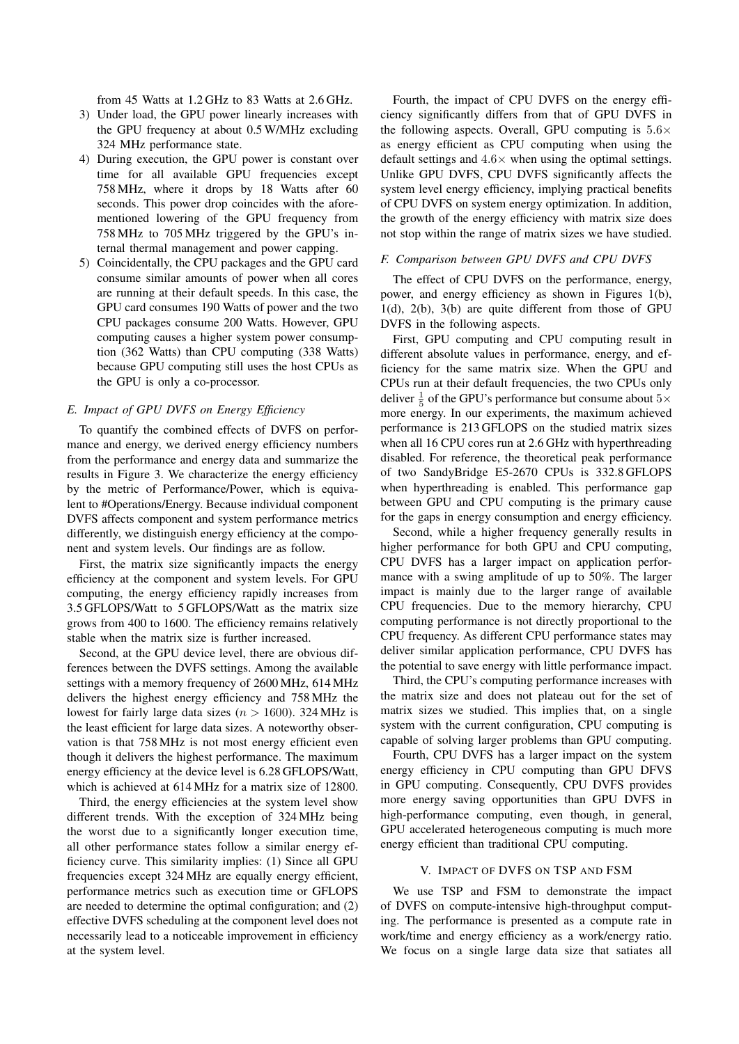from 45 Watts at 1.2 GHz to 83 Watts at 2.6 GHz.

- 3) Under load, the GPU power linearly increases with the GPU frequency at about 0.5 W/MHz excluding 324 MHz performance state.
- 4) During execution, the GPU power is constant over time for all available GPU frequencies except 758 MHz, where it drops by 18 Watts after 60 seconds. This power drop coincides with the aforementioned lowering of the GPU frequency from 758 MHz to 705 MHz triggered by the GPU's internal thermal management and power capping.
- 5) Coincidentally, the CPU packages and the GPU card consume similar amounts of power when all cores are running at their default speeds. In this case, the GPU card consumes 190 Watts of power and the two CPU packages consume 200 Watts. However, GPU computing causes a higher system power consumption (362 Watts) than CPU computing (338 Watts) because GPU computing still uses the host CPUs as the GPU is only a co-processor.

# *E. Impact of GPU DVFS on Energy Efficiency*

To quantify the combined effects of DVFS on performance and energy, we derived energy efficiency numbers from the performance and energy data and summarize the results in Figure 3. We characterize the energy efficiency by the metric of Performance/Power, which is equivalent to #Operations/Energy. Because individual component DVFS affects component and system performance metrics differently, we distinguish energy efficiency at the component and system levels. Our findings are as follow.

First, the matrix size significantly impacts the energy efficiency at the component and system levels. For GPU computing, the energy efficiency rapidly increases from 3.5 GFLOPS/Watt to 5 GFLOPS/Watt as the matrix size grows from 400 to 1600. The efficiency remains relatively stable when the matrix size is further increased.

Second, at the GPU device level, there are obvious differences between the DVFS settings. Among the available settings with a memory frequency of 2600 MHz, 614 MHz delivers the highest energy efficiency and 758 MHz the lowest for fairly large data sizes ( $n > 1600$ ). 324 MHz is the least efficient for large data sizes. A noteworthy observation is that 758 MHz is not most energy efficient even though it delivers the highest performance. The maximum energy efficiency at the device level is 6.28 GFLOPS/Watt, which is achieved at 614 MHz for a matrix size of 12800.

Third, the energy efficiencies at the system level show different trends. With the exception of 324 MHz being the worst due to a significantly longer execution time, all other performance states follow a similar energy efficiency curve. This similarity implies: (1) Since all GPU frequencies except 324 MHz are equally energy efficient, performance metrics such as execution time or GFLOPS are needed to determine the optimal configuration; and (2) effective DVFS scheduling at the component level does not necessarily lead to a noticeable improvement in efficiency at the system level.

Fourth, the impact of CPU DVFS on the energy efficiency significantly differs from that of GPU DVFS in the following aspects. Overall, GPU computing is  $5.6\times$ as energy efficient as CPU computing when using the default settings and  $4.6\times$  when using the optimal settings. Unlike GPU DVFS, CPU DVFS significantly affects the system level energy efficiency, implying practical benefits of CPU DVFS on system energy optimization. In addition, the growth of the energy efficiency with matrix size does not stop within the range of matrix sizes we have studied.

#### *F. Comparison between GPU DVFS and CPU DVFS*

The effect of CPU DVFS on the performance, energy, power, and energy efficiency as shown in Figures 1(b), 1(d), 2(b), 3(b) are quite different from those of GPU DVFS in the following aspects.

First, GPU computing and CPU computing result in different absolute values in performance, energy, and efficiency for the same matrix size. When the GPU and CPUs run at their default frequencies, the two CPUs only deliver  $\frac{1}{5}$  of the GPU's performance but consume about  $5\times$ more energy. In our experiments, the maximum achieved performance is 213 GFLOPS on the studied matrix sizes when all 16 CPU cores run at 2.6 GHz with hyperthreading disabled. For reference, the theoretical peak performance of two SandyBridge E5-2670 CPUs is 332.8 GFLOPS when hyperthreading is enabled. This performance gap between GPU and CPU computing is the primary cause for the gaps in energy consumption and energy efficiency.

Second, while a higher frequency generally results in higher performance for both GPU and CPU computing, CPU DVFS has a larger impact on application performance with a swing amplitude of up to 50%. The larger impact is mainly due to the larger range of available CPU frequencies. Due to the memory hierarchy, CPU computing performance is not directly proportional to the CPU frequency. As different CPU performance states may deliver similar application performance, CPU DVFS has the potential to save energy with little performance impact.

Third, the CPU's computing performance increases with the matrix size and does not plateau out for the set of matrix sizes we studied. This implies that, on a single system with the current configuration, CPU computing is capable of solving larger problems than GPU computing.

Fourth, CPU DVFS has a larger impact on the system energy efficiency in CPU computing than GPU DFVS in GPU computing. Consequently, CPU DVFS provides more energy saving opportunities than GPU DVFS in high-performance computing, even though, in general, GPU accelerated heterogeneous computing is much more energy efficient than traditional CPU computing.

#### V. IMPACT OF DVFS ON TSP AND FSM

We use TSP and FSM to demonstrate the impact of DVFS on compute-intensive high-throughput computing. The performance is presented as a compute rate in work/time and energy efficiency as a work/energy ratio. We focus on a single large data size that satiates all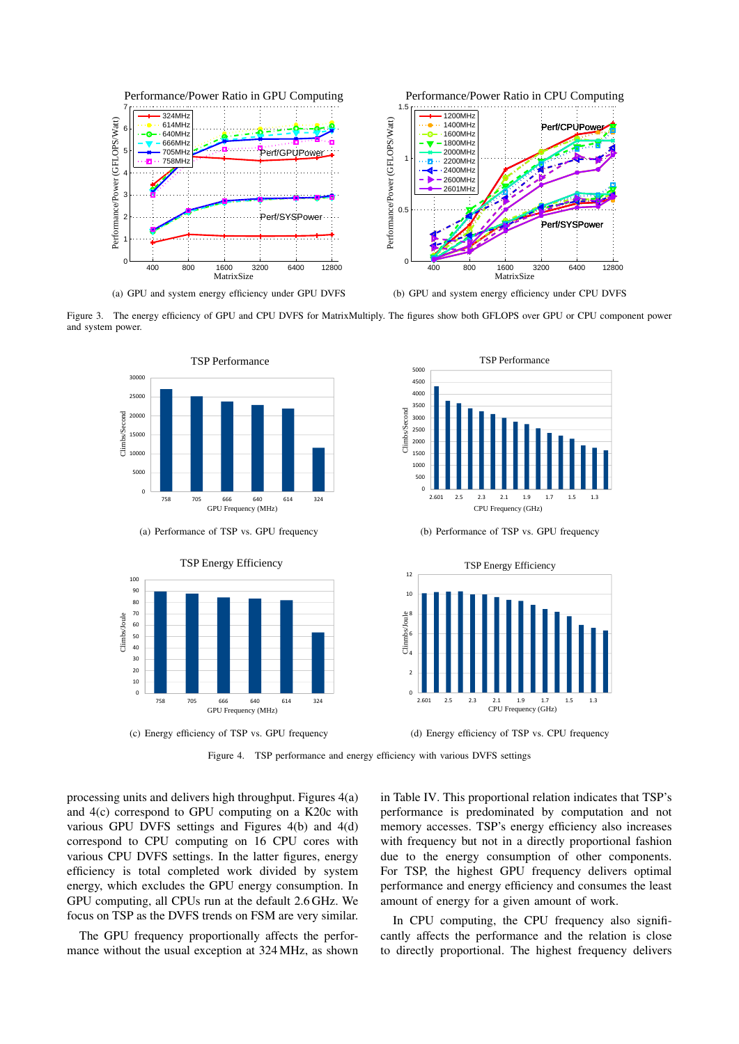

Figure 3. The energy efficiency of GPU and CPU DVFS for MatrixMultiply. The figures show both GFLOPS over GPU or CPU component power and system power.



(a) Performance of TSP vs. GPU frequency



(b) Performance of TSP vs. GPU frequency



Figure 4. TSP performance and energy efficiency with various DVFS settings

processing units and delivers high throughput. Figures 4(a) and 4(c) correspond to GPU computing on a K20c with various GPU DVFS settings and Figures 4(b) and 4(d) correspond to CPU computing on 16 CPU cores with various CPU DVFS settings. In the latter figures, energy efficiency is total completed work divided by system energy, which excludes the GPU energy consumption. In GPU computing, all CPUs run at the default 2.6 GHz. We focus on TSP as the DVFS trends on FSM are very similar.

The GPU frequency proportionally affects the performance without the usual exception at 324 MHz, as shown in Table IV. This proportional relation indicates that TSP's performance is predominated by computation and not memory accesses. TSP's energy efficiency also increases with frequency but not in a directly proportional fashion due to the energy consumption of other components. For TSP, the highest GPU frequency delivers optimal performance and energy efficiency and consumes the least amount of energy for a given amount of work.

In CPU computing, the CPU frequency also significantly affects the performance and the relation is close to directly proportional. The highest frequency delivers